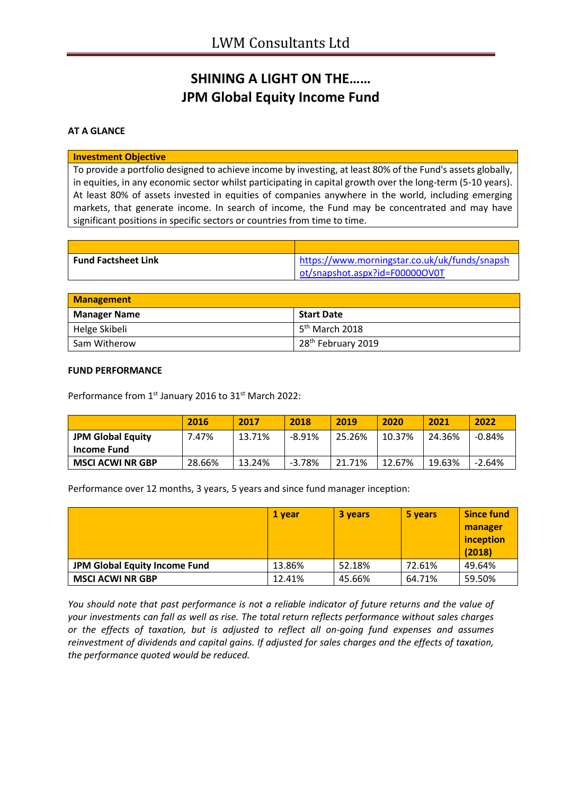# **SHINING A LIGHT ON THE…… JPM Global Equity Income Fund**

### **AT A GLANCE**

### **Investment Objective**

To provide a portfolio designed to achieve income by investing, at least 80% of the Fund's assets globally, in equities, in any economic sector whilst participating in capital growth over the long-term (5-10 years). At least 80% of assets invested in equities of companies anywhere in the world, including emerging markets, that generate income. In search of income, the Fund may be concentrated and may have significant positions in specific sectors or countries from time to time.

| <b>Fund Factsheet Link</b> | https://www.morningstar.co.uk/uk/funds/snapsh |
|----------------------------|-----------------------------------------------|
|                            | ot/snapshot.aspx?id=F000000V0T                |

| <b>Management</b>   |                                  |  |
|---------------------|----------------------------------|--|
| <b>Manager Name</b> | <b>Start Date</b>                |  |
| Helge Skibeli       | $15^{th}$ March 2018             |  |
| Sam Witherow        | 1 28 <sup>th</sup> February 2019 |  |

#### **FUND PERFORMANCE**

Performance from 1<sup>st</sup> January 2016 to 31<sup>st</sup> March 2022:

|                          | 2016   | 2017   | 2018     | 2019   | 2020   | 2021   | 2022     |
|--------------------------|--------|--------|----------|--------|--------|--------|----------|
| <b>JPM Global Equity</b> | 7.47%  | 13.71% | $-8.91%$ | 25.26% | 10.37% | 24.36% | -0.84%   |
| <b>Income Fund</b>       |        |        |          |        |        |        |          |
| <b>MSCI ACWI NR GBP</b>  | 28.66% | 13.24% | $-3.78%$ | 21.71% | 12.67% | 19.63% | $-2.64%$ |

Performance over 12 months, 3 years, 5 years and since fund manager inception:

|                               | 1 vear | 3 years | 5 years | <b>Since fund</b><br>manager<br>inception<br>(2018) |
|-------------------------------|--------|---------|---------|-----------------------------------------------------|
| JPM Global Equity Income Fund | 13.86% | 52.18%  | 72.61%  | 49.64%                                              |
| <b>MSCI ACWI NR GBP</b>       | 12.41% | 45.66%  | 64.71%  | 59.50%                                              |

*You should note that past performance is not a reliable indicator of future returns and the value of your investments can fall as well as rise. The total return reflects performance without sales charges or the effects of taxation, but is adjusted to reflect all on-going fund expenses and assumes reinvestment of dividends and capital gains. If adjusted for sales charges and the effects of taxation, the performance quoted would be reduced.*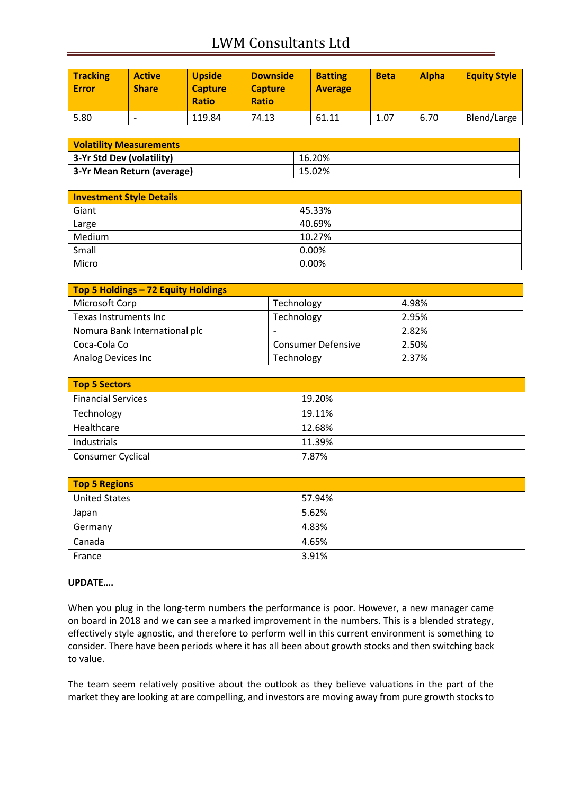# LWM Consultants Ltd

| <b>Tracking</b><br><b>Error</b> | <b>Active</b><br><b>Share</b> | <b>Upside</b><br><b>Capture</b><br><b>Ratio</b> | <b>Downside</b><br><b>Capture</b><br><b>Ratio</b> | <b>Batting</b><br><b>Average</b> | <b>Beta</b> | <b>Alpha</b> | <b>Equity Style</b> |
|---------------------------------|-------------------------------|-------------------------------------------------|---------------------------------------------------|----------------------------------|-------------|--------------|---------------------|
| 5.80                            | -                             | 119.84                                          | 74.13                                             | 61.11                            | 1.07        | 6.70         | Blend/Large         |

| <b>Volatility Measurements</b> |        |
|--------------------------------|--------|
| 3-Yr Std Dev (volatility)      | 16.20% |
| 3-Yr Mean Return (average)     | 15.02% |

| <b>Investment Style Details</b> |        |  |
|---------------------------------|--------|--|
| Giant                           | 45.33% |  |
| Large                           | 40.69% |  |
| Medium                          | 10.27% |  |
| Small                           | 0.00%  |  |
| Micro                           | 0.00%  |  |

| Top 5 Holdings - 72 Equity Holdings |                           |       |
|-------------------------------------|---------------------------|-------|
| Microsoft Corp                      | Technology                | 4.98% |
| Texas Instruments Inc               | Technology                | 2.95% |
| Nomura Bank International plc       | -                         | 2.82% |
| Coca-Cola Co                        | <b>Consumer Defensive</b> | 2.50% |
| Analog Devices Inc                  | Technology                | 2.37% |

| <b>Top 5 Sectors</b>      |        |  |
|---------------------------|--------|--|
| <b>Financial Services</b> | 19.20% |  |
| Technology                | 19.11% |  |
| Healthcare                | 12.68% |  |
| Industrials               | 11.39% |  |
| Consumer Cyclical         | 7.87%  |  |

| <b>Top 5 Regions</b> |        |
|----------------------|--------|
| <b>United States</b> | 57.94% |
| Japan                | 5.62%  |
| Germany              | 4.83%  |
| Canada               | 4.65%  |
| France               | 3.91%  |

## **UPDATE….**

When you plug in the long-term numbers the performance is poor. However, a new manager came on board in 2018 and we can see a marked improvement in the numbers. This is a blended strategy, effectively style agnostic, and therefore to perform well in this current environment is something to consider. There have been periods where it has all been about growth stocks and then switching back to value.

The team seem relatively positive about the outlook as they believe valuations in the part of the market they are looking at are compelling, and investors are moving away from pure growth stocks to